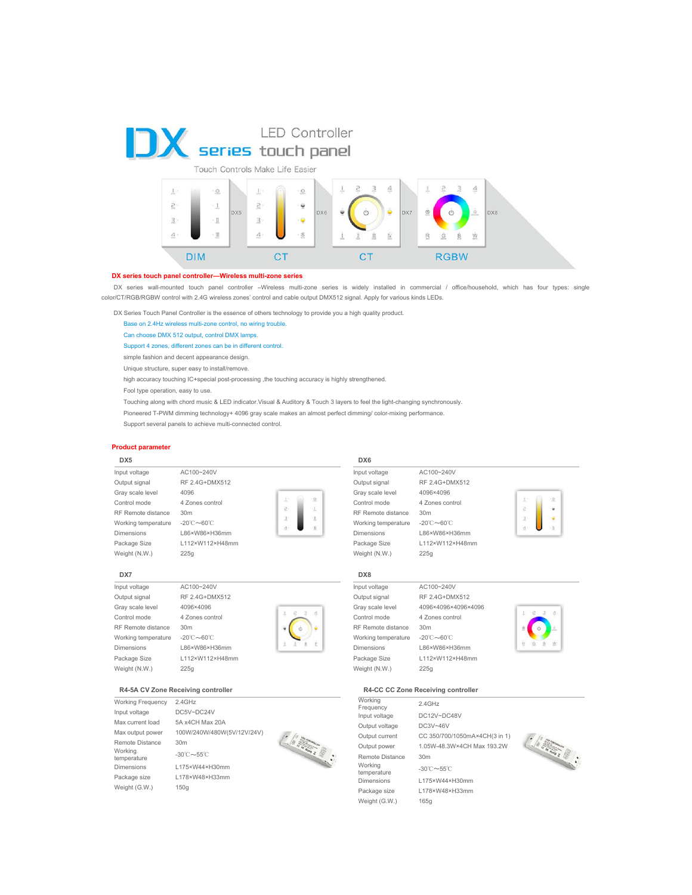



### **DX series touch panel controller—Wireless multi-zone series**

DX series wall-mounted touch panel controller -Wireless multi-zone series is widely installed in commercial / office/household, which has four types: single color/CT/RGB/RGBW control with 2.4G wireless zones' control and cable output DMX512 signal. Apply for various kinds LEDs.

DX Series Touch Panel Controller is the essence of others technology to provide you a high quality product.

Base on 2.4Hz wireless multi-zone control, no wiring trouble.

Can choose DMX 512 output, control DMX lamps.

### Support 4 zones, different zones can be in different control.

simple fashion and decent appearance design.

Unique structure, super easy to install/remove.

high accuracy touching IC+special post-processing ,the touching accuracy is highly strengthened.

Fool type operation, easy to use.

- Touching along with chord music & LED indicator.Visual & Auditory & Touch 3 layers to feel the light-changing synchronously.
- Pioneered T-PWM dimming technology+ 4096 gray scale makes an almost perfect dimming/ color-mixing performance.

 $\vec{c}$ 

 $\pm$ 

 $\cdot$ 

Support several panels to achieve multi-connected control.

### **Product parameter**

### **DX5**

Input voltage AC100~240V Output signal RF 2.4G+DMX512 Gray scale level 4096 Control mode 4 Zones control RF Remote distance 30m Working temperature -20℃~60℃ Dimensions L86×W86×H36mm Package Size L112×W112×H48mm Weight (N.W.) 225g



### Input voltage AC100~240V Output signal RF 2.4G+DMX512 Gray scale level 4096×4096 Control mode 4 Zones control RF Remote distance 30m Working temperature -20℃~60℃ Dimensions L86×W86×H36mm Package Size L112×W112×H48mm Weight (N.W.) 225g



### **R4-5A CV Zone Receiving controller**

Working Frequency 2.4GHz Input voltage DC5V~DC24V Max current load 5A x4CH Max 20A Remote Distance 30m Working temperature -30℃~55℃ Dimensions L175×W44×H30mm Package size L178×W48×H33mm Weight (G.W.) 150g





 $\begin{pmatrix} 0 & \frac{1}{2} & \frac{1}{2} & \frac{1}{2} & \frac{1}{2} \\ \frac{1}{2} & \frac{1}{2} & \frac{1}{2} & \frac{1}{2} & \frac{1}{2} \\ \frac{1}{2} & \frac{1}{2} & \frac{1}{2} & \frac{1}{2} & \frac{1}{2} \\ \frac{1}{2} & \frac{1}{2} & \frac{1}{2} & \frac{1}{2} & \frac{1}{2} \\ \frac{1}{2} & \frac{1}{2} & \frac{1}{2} & \frac{1}{2} & \frac{1}{2} \\ \frac{1}{2} & \frac{1}{2} & \frac{$ 

# **DX8**

**DX6**

RF Remote distance 30m Weight (N.W.) 225g



# Dimensions L86×W86×H36mm Package Size L112×W112×H48mm

### **R4-CC CC Zone Receiving controller**

| Working<br>Frequency   | $2.4$ GHz                              |
|------------------------|----------------------------------------|
| Input voltage          | DC12V~DC48V                            |
| Output voltage         | DC3V~46V                               |
| Output current         | CC 350/700/1050mA×4CH(3 in 1)          |
| Output power           | 1.05W-48.3W×4CH Max 193.2W             |
| Remote Distance        | 30 <sub>m</sub>                        |
| Working<br>temperature | $-30^{\circ}$ C $\sim$ 55 $^{\circ}$ C |
| Dimensions             | L175×W44×H30mm                         |
| Package size           | L178×W48×H33mm                         |
| Weight (G.W.)          | 165a                                   |
|                        |                                        |







Input voltage AC100~240V

Output signal RF 2.4G+DMX512 Gray scale level 4096×4096 Control mode 4 Zones control Working temperature -20℃~60℃ Dimensions L86×W86×H36mm Package Size L112×W112×H48mm



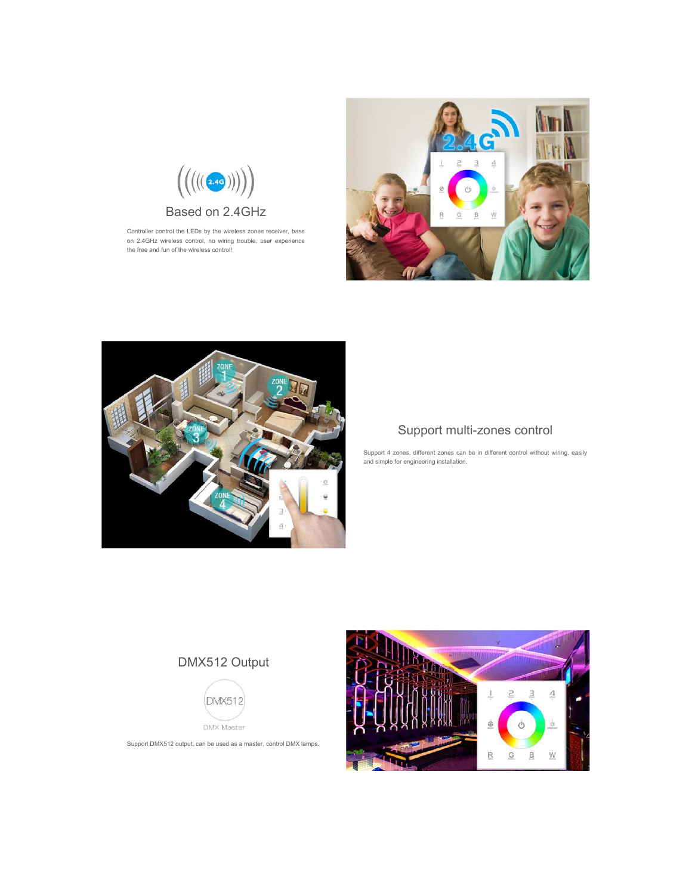

Controller control the LEDs by the wireless zones receiver, base on 2.4GHz wireless control, no wiring trouble, user experience the free and fun of the wireless control!





### Support multi-zones control

Support 4 zones, different zones can be in different control without wiring, easily and simple for engineering installation.

# DMX512 Output



Support DMX512 output, can be used as a master, control DMX lamps.

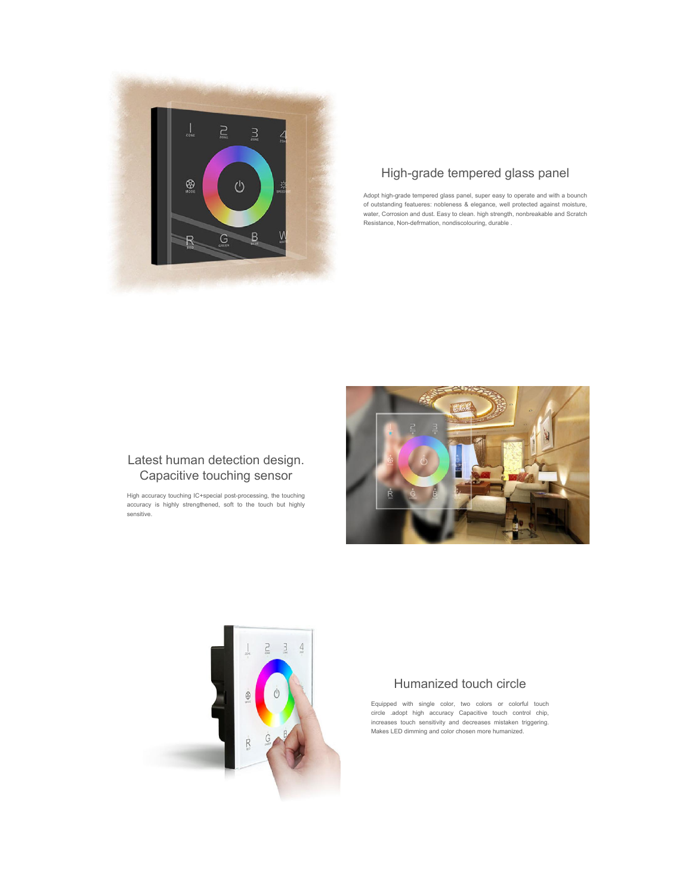

# High-grade tempered glass panel

Adopt high-grade tempered glass panel, super easy to operate and with a bounch of outstanding featueres: nobleness & elegance, well protected against moisture, water, Corrosion and dust. Easy to clean. high strength, nonbreakable and Scratch Resistance, Non-defrmation, nondiscolouring, durable .



### Latest human detection design. Capacitive touching sensor

High accuracy touching IC+special post-processing, the touching accuracy is highly strengthened, soft to the touch but highly sensitive.



### Humanized touch circle

Equipped with single color, two colors or colorful touch circle .adopt high accuracy Capacitive touch control chip, increases touch sensitivity and decreases mistaken triggering. Makes LED dimming and color chosen more humanized.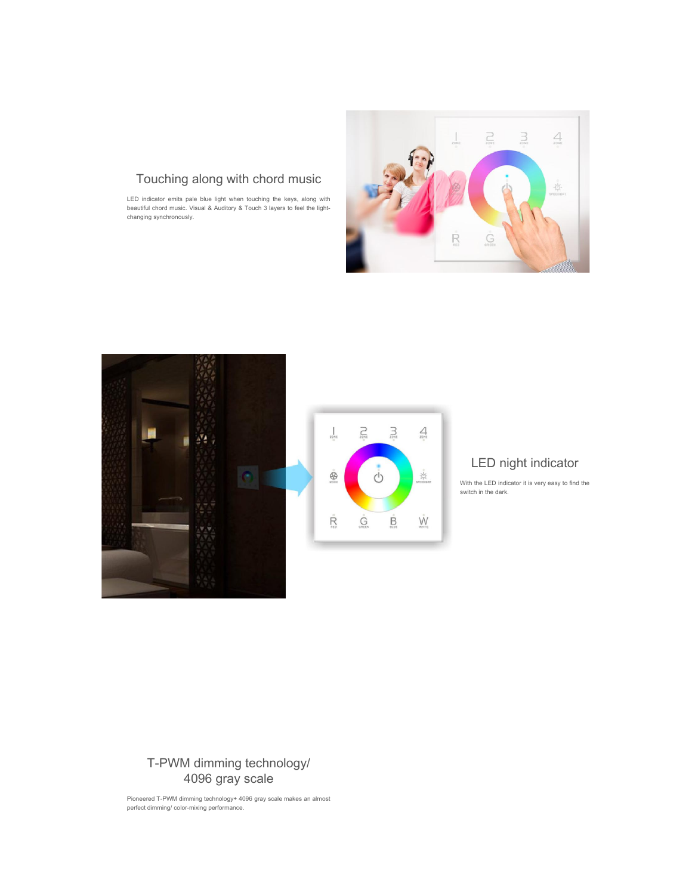

# Touching along with chord music

LED indicator emits pale blue light when touching the keys, along with beautiful chord music. Visual & Auditory & Touch 3 layers to feel the lightchanging synchronously.





# LED night indicator

With the LED indicator it is very easy to find the switch in the dark.

# T-PWM dimming technology/ 4096 gray scale

Pioneered T-PWM dimming technology+ 4096 gray scale makes an almost perfect dimming/ color-mixing performance.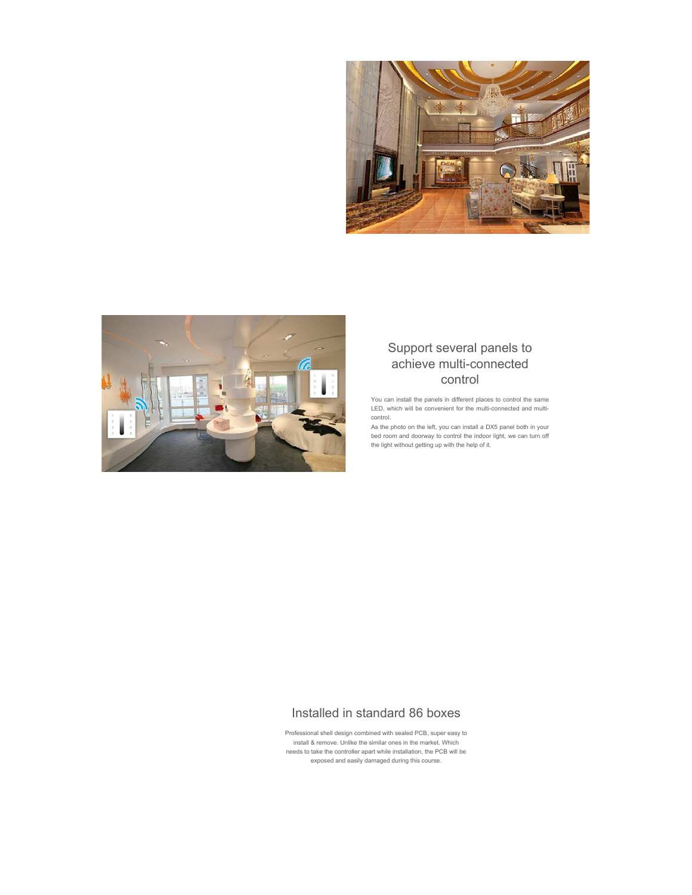



## Support several panels to achieve multi-connected control

You can install the panels in different places to control the same LED, which will be convenient for the multi-connected and multicontrol.

As the photo on the left, you can install a DX5 panel both in your bed room and doorway to control the indoor light, we can turn off the light without getting up with the help of it.

# Installed in standard 86 boxes

Professional shell design combined with sealed PCB, super easy to install & remove. Unlike the similar ones in the market. Which needs to take the controller apart while installation, the PCB will be exposed and easily damaged during this course.